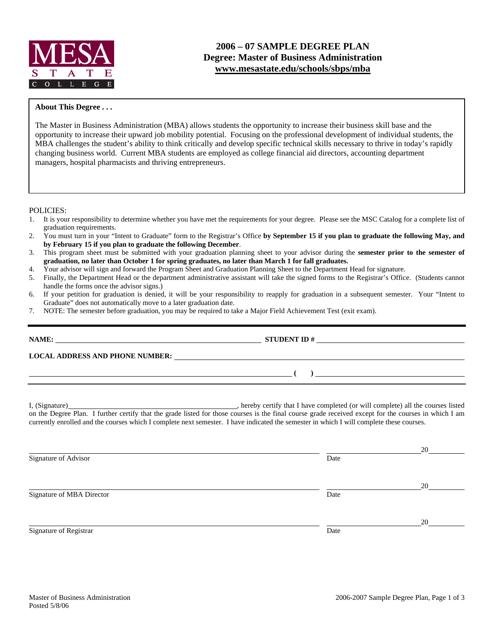

## **2006 – 07 SAMPLE DEGREE PLAN Degree: Master of Business Administration www.mesastate.edu/schools/sbps/mba**

#### **About This Degree . . .**

The Master in Business Administration (MBA) allows students the opportunity to increase their business skill base and the opportunity to increase their upward job mobility potential. Focusing on the professional development of individual students, the MBA challenges the student's ability to think critically and develop specific technical skills necessary to thrive in today's rapidly changing business world. Current MBA students are employed as college financial aid directors, accounting department managers, hospital pharmacists and thriving entrepreneurs.

POLICIES:

- 1. It is your responsibility to determine whether you have met the requirements for your degree. Please see the MSC Catalog for a complete list of graduation requirements.
- 2. You must turn in your "Intent to Graduate" form to the Registrar's Office **by September 15 if you plan to graduate the following May, and by February 15 if you plan to graduate the following December**.
- 3. This program sheet must be submitted with your graduation planning sheet to your advisor during the **semester prior to the semester of graduation, no later than October 1 for spring graduates, no later than March 1 for fall graduates.**
- 4. Your advisor will sign and forward the Program Sheet and Graduation Planning Sheet to the Department Head for signature.
- 5. Finally, the Department Head or the department administrative assistant will take the signed forms to the Registrar's Office. (Students cannot handle the forms once the advisor signs.)
- 6. If your petition for graduation is denied, it will be your responsibility to reapply for graduation in a subsequent semester. Your "Intent to Graduate" does not automatically move to a later graduation date.
- 7. NOTE: The semester before graduation, you may be required to take a Major Field Achievement Test (exit exam).

| NAME:                           |  |
|---------------------------------|--|
| LOCAL ADDRESS AND PHONE NUMBER: |  |
|                                 |  |
|                                 |  |

I, (Signature) , hereby certify that I have completed (or will complete) all the courses listed on the Degree Plan. I further certify that the grade listed for those courses is the final course grade received except for the courses in which I am currently enrolled and the courses which I complete next semester. I have indicated the semester in which I will complete these courses.

<u>20</u> Signature of Advisor Date **Date** <u>20</u> Signature of MBA Director Date and Security 2014 and 2015 and 2016 and 2016 and 2016 and 2016 and 2016 and 2016 and 2016 and 2016 and 2016 and 2016 and 2016 and 2016 and 2016 and 2016 and 2016 and 2016 and 2016 and 2016 an <u>20</u> Signature of Registrar Date Date of Registrar Date Date of Registrar Date Date of Registrar Date Date of Registrar Date of Registrar Date of Registrar Date of Registrar Date of Registrar Date of Registrar  $\alpha$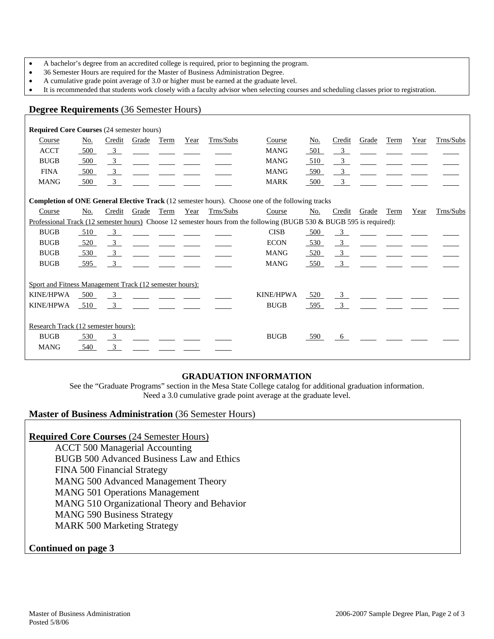- A bachelor's degree from an accredited college is required, prior to beginning the program.
- 36 Semester Hours are required for the Master of Business Administration Degree.
- A cumulative grade point average of 3.0 or higher must be earned at the graduate level.
- It is recommended that students work closely with a faculty advisor when selecting courses and scheduling classes prior to registration.

### **Degree Requirements** (36 Semester Hours)

| <b>Required Core Courses (24 semester hours)</b>                                                                      |     |                           |              |      |      |           |                  |     |                         |       |      |      |           |
|-----------------------------------------------------------------------------------------------------------------------|-----|---------------------------|--------------|------|------|-----------|------------------|-----|-------------------------|-------|------|------|-----------|
| Course                                                                                                                | No. | Credit                    | Grade        | Term | Year | Trns/Subs | Course           | No. | Credit                  | Grade | Term | Year | Trns/Subs |
| <b>ACCT</b>                                                                                                           | 500 | $\overline{\mathbf{3}}$   |              |      |      |           | <b>MANG</b>      | 501 | $\overline{\mathbf{3}}$ |       |      |      |           |
| <b>BUGB</b>                                                                                                           | 500 | $\overline{3}$            |              |      |      |           | <b>MANG</b>      | 510 | $\overline{\mathbf{3}}$ |       |      |      |           |
| <b>FINA</b>                                                                                                           | 500 | $\frac{3}{2}$             |              |      |      |           | <b>MANG</b>      | 590 | $\overline{\mathbf{3}}$ |       |      |      |           |
| <b>MANG</b>                                                                                                           | 500 | $\frac{3}{2}$             |              |      |      |           | <b>MARK</b>      | 500 | $\overline{\mathbf{3}}$ |       |      |      |           |
| <b>Completion of ONE General Elective Track</b> (12 semester hours). Choose one of the following tracks               |     |                           |              |      |      |           |                  |     |                         |       |      |      |           |
| Course                                                                                                                | No. |                           | Credit Grade | Term | Year | Trns/Subs | Course           | No. | Credit                  | Grade | Term | Year | Trns/Subs |
| Professional Track (12 semester hours) Choose 12 semester hours from the following (BUGB 530 & BUGB 595 is required): |     |                           |              |      |      |           |                  |     |                         |       |      |      |           |
| <b>BUGB</b>                                                                                                           | 510 | $\overline{\phantom{0}3}$ |              |      |      |           | <b>CISB</b>      | 500 | $\overline{\mathbf{3}}$ |       |      |      |           |
| <b>BUGB</b>                                                                                                           | 520 | $\frac{3}{2}$             |              |      |      |           | <b>ECON</b>      | 530 | $\frac{3}{2}$           |       |      |      |           |
| <b>BUGB</b>                                                                                                           | 530 | $\frac{3}{2}$             |              |      |      |           | <b>MANG</b>      | 520 | $\frac{3}{2}$           |       |      |      |           |
| <b>BUGB</b>                                                                                                           | 595 | $\overline{\mathbf{3}}$   |              |      |      |           | <b>MANG</b>      | 550 | $\overline{\mathbf{3}}$ |       |      |      |           |
| Sport and Fitness Management Track (12 semester hours):                                                               |     |                           |              |      |      |           |                  |     |                         |       |      |      |           |
| <b>KINE/HPWA</b>                                                                                                      | 500 | $\overline{3}$            |              |      |      |           | <b>KINE/HPWA</b> | 520 | $\frac{3}{2}$           |       |      |      |           |
| <b>KINE/HPWA</b>                                                                                                      | 510 | $\overline{\mathbf{3}}$   |              |      |      |           | <b>BUGB</b>      | 595 | $\overline{3}$          |       |      |      |           |
|                                                                                                                       |     |                           |              |      |      |           |                  |     |                         |       |      |      |           |
| Research Track (12 semester hours):                                                                                   |     |                           |              |      |      |           |                  |     |                         |       |      |      |           |
| <b>BUGB</b>                                                                                                           | 530 | $\overline{\mathbf{3}}$   |              |      |      |           | <b>BUGB</b>      | 590 | 6                       |       |      |      |           |
| <b>MANG</b>                                                                                                           | 540 | $\overline{3}$            |              |      |      |           |                  |     |                         |       |      |      |           |
|                                                                                                                       |     |                           |              |      |      |           |                  |     |                         |       |      |      |           |

### **GRADUATION INFORMATION**

See the "Graduate Programs" section in the Mesa State College catalog for additional graduation information. Need a 3.0 cumulative grade point average at the graduate level.

### **Master of Business Administration** (36 Semester Hours)

### **Required Core Courses** (24 Semester Hours)

 ACCT 500 Managerial Accounting BUGB 500 Advanced Business Law and Ethics FINA 500 Financial Strategy MANG 500 Advanced Management Theory MANG 501 Operations Management MANG 510 Organizational Theory and Behavior MANG 590 Business Strategy MARK 500 Marketing Strategy

### **Continued on page 3**